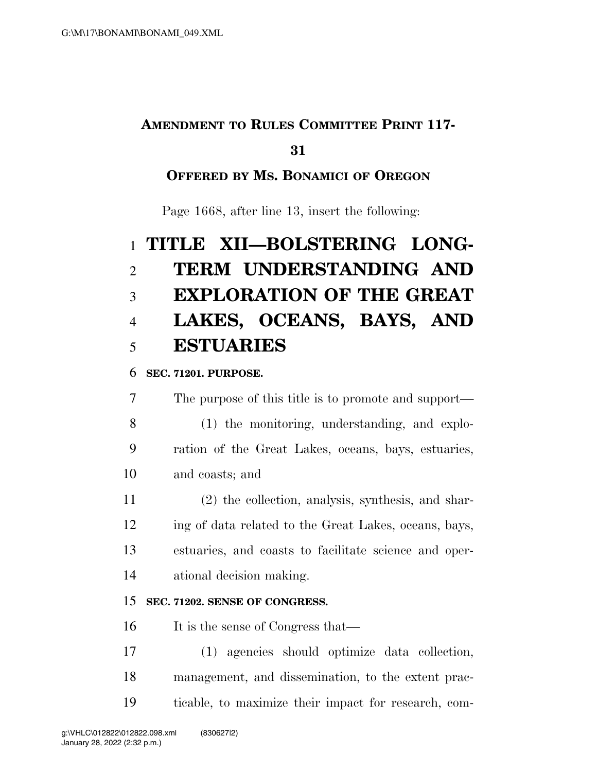# **AMENDMENT TO RULES COMMITTEE PRINT 117-**

## 

## **OFFERED BY MS. BONAMICI OF OREGON**

Page 1668, after line 13, insert the following:

# **TITLE XII—BOLSTERING LONG- TERM UNDERSTANDING AND EXPLORATION OF THE GREAT LAKES, OCEANS, BAYS, AND ESTUARIES**

## **SEC. 71201. PURPOSE.**

 The purpose of this title is to promote and support— (1) the monitoring, understanding, and explo- ration of the Great Lakes, oceans, bays, estuaries, and coasts; and

 (2) the collection, analysis, synthesis, and shar- ing of data related to the Great Lakes, oceans, bays, estuaries, and coasts to facilitate science and oper-ational decision making.

## **SEC. 71202. SENSE OF CONGRESS.**

16 It is the sense of Congress that—

 (1) agencies should optimize data collection, management, and dissemination, to the extent prac-ticable, to maximize their impact for research, com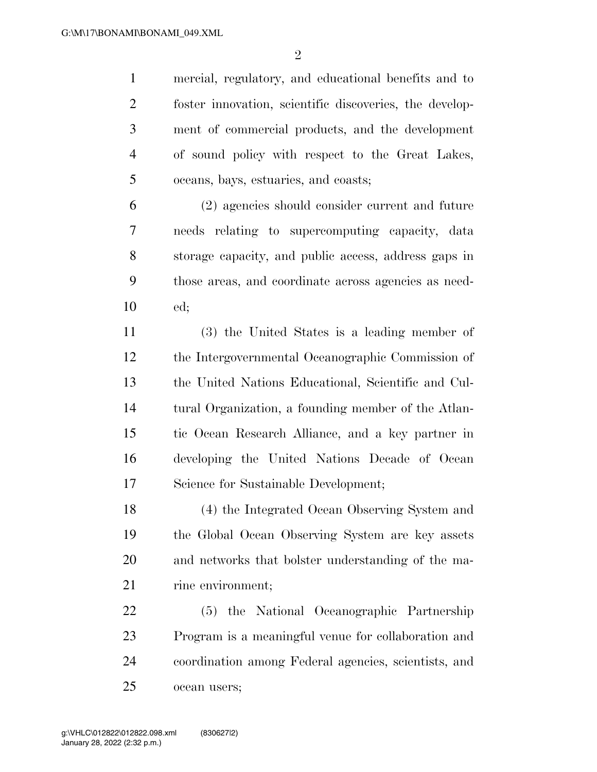$\mathfrak{D}$ 

 mercial, regulatory, and educational benefits and to foster innovation, scientific discoveries, the develop- ment of commercial products, and the development of sound policy with respect to the Great Lakes, oceans, bays, estuaries, and coasts;

 (2) agencies should consider current and future needs relating to supercomputing capacity, data storage capacity, and public access, address gaps in those areas, and coordinate across agencies as need-ed;

 (3) the United States is a leading member of the Intergovernmental Oceanographic Commission of the United Nations Educational, Scientific and Cul- tural Organization, a founding member of the Atlan- tic Ocean Research Alliance, and a key partner in developing the United Nations Decade of Ocean Science for Sustainable Development;

 (4) the Integrated Ocean Observing System and the Global Ocean Observing System are key assets and networks that bolster understanding of the ma-21 rine environment;

 (5) the National Oceanographic Partnership Program is a meaningful venue for collaboration and coordination among Federal agencies, scientists, and ocean users;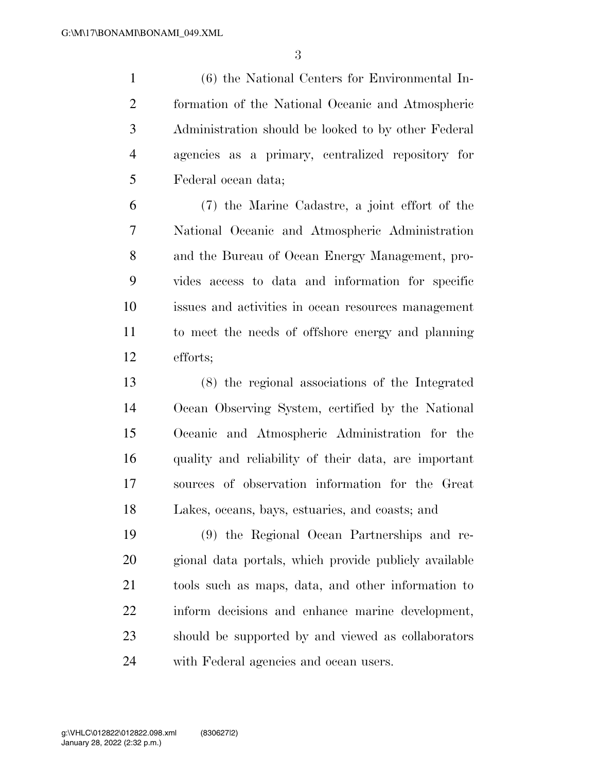(6) the National Centers for Environmental In- formation of the National Oceanic and Atmospheric Administration should be looked to by other Federal agencies as a primary, centralized repository for Federal ocean data;

 (7) the Marine Cadastre, a joint effort of the National Oceanic and Atmospheric Administration and the Bureau of Ocean Energy Management, pro- vides access to data and information for specific issues and activities in ocean resources management to meet the needs of offshore energy and planning efforts;

 (8) the regional associations of the Integrated Ocean Observing System, certified by the National Oceanic and Atmospheric Administration for the quality and reliability of their data, are important sources of observation information for the Great Lakes, oceans, bays, estuaries, and coasts; and

 (9) the Regional Ocean Partnerships and re- gional data portals, which provide publicly available tools such as maps, data, and other information to inform decisions and enhance marine development, should be supported by and viewed as collaborators with Federal agencies and ocean users.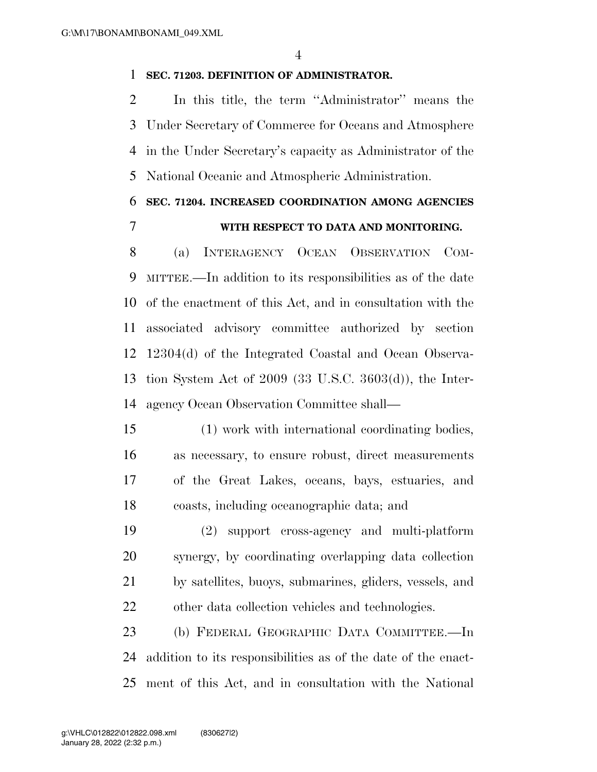#### **SEC. 71203. DEFINITION OF ADMINISTRATOR.**

 In this title, the term ''Administrator'' means the Under Secretary of Commerce for Oceans and Atmosphere in the Under Secretary's capacity as Administrator of the National Oceanic and Atmospheric Administration.

# **SEC. 71204. INCREASED COORDINATION AMONG AGENCIES**

## **WITH RESPECT TO DATA AND MONITORING.**

 (a) INTERAGENCY OCEAN OBSERVATION COM- MITTEE.—In addition to its responsibilities as of the date of the enactment of this Act, and in consultation with the associated advisory committee authorized by section 12304(d) of the Integrated Coastal and Ocean Observa- tion System Act of 2009 (33 U.S.C. 3603(d)), the Inter-agency Ocean Observation Committee shall—

 (1) work with international coordinating bodies, as necessary, to ensure robust, direct measurements of the Great Lakes, oceans, bays, estuaries, and coasts, including oceanographic data; and

 (2) support cross-agency and multi-platform synergy, by coordinating overlapping data collection by satellites, buoys, submarines, gliders, vessels, and other data collection vehicles and technologies.

 (b) FEDERAL GEOGRAPHIC DATA COMMITTEE.—In addition to its responsibilities as of the date of the enact-ment of this Act, and in consultation with the National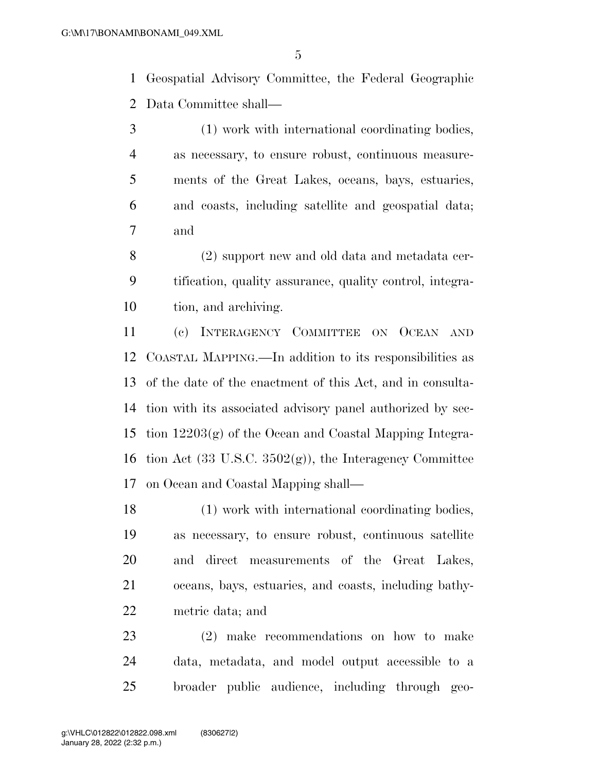Geospatial Advisory Committee, the Federal Geographic Data Committee shall—

 (1) work with international coordinating bodies, as necessary, to ensure robust, continuous measure- ments of the Great Lakes, oceans, bays, estuaries, and coasts, including satellite and geospatial data; and

 (2) support new and old data and metadata cer- tification, quality assurance, quality control, integra-tion, and archiving.

 (c) INTERAGENCY COMMITTEE ON OCEAN AND COASTAL MAPPING.—In addition to its responsibilities as of the date of the enactment of this Act, and in consulta- tion with its associated advisory panel authorized by sec- tion 12203(g) of the Ocean and Coastal Mapping Integra-16 tion Act  $(33 \text{ U.S.C. } 3502(g))$ , the Interagency Committee on Ocean and Coastal Mapping shall—

 (1) work with international coordinating bodies, as necessary, to ensure robust, continuous satellite and direct measurements of the Great Lakes, oceans, bays, estuaries, and coasts, including bathy-metric data; and

 (2) make recommendations on how to make data, metadata, and model output accessible to a broader public audience, including through geo-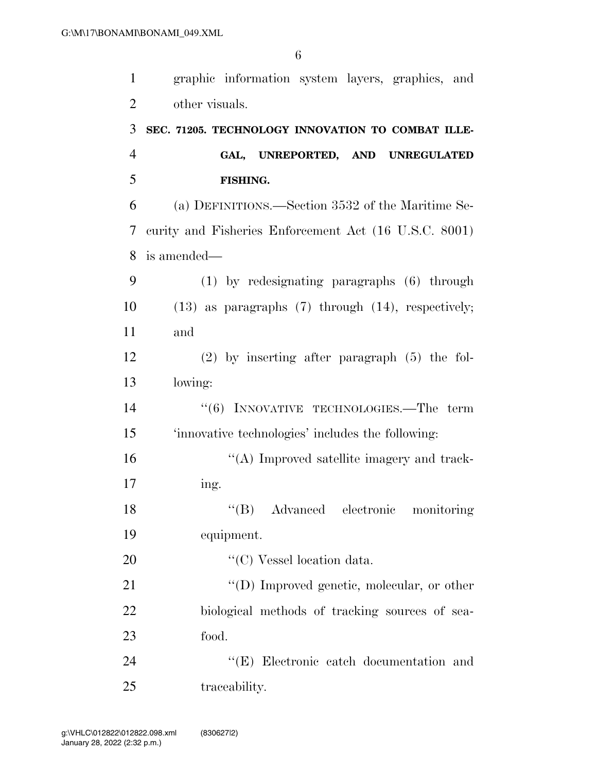| $\mathbf{1}$   | graphic information system layers, graphics, and          |
|----------------|-----------------------------------------------------------|
| $\overline{2}$ | other visuals.                                            |
| 3              | SEC. 71205. TECHNOLOGY INNOVATION TO COMBAT ILLE-         |
| 4              | GAL, UNREPORTED, AND UNREGULATED                          |
| 5              | FISHING.                                                  |
| 6              | (a) DEFINITIONS.—Section 3532 of the Maritime Se-         |
| 7              | curity and Fisheries Enforcement Act (16 U.S.C. 8001)     |
| 8              | is amended—                                               |
| 9              | (1) by redesignating paragraphs (6) through               |
| 10             | $(13)$ as paragraphs $(7)$ through $(14)$ , respectively; |
| 11             | and                                                       |
| 12             | $(2)$ by inserting after paragraph $(5)$ the fol-         |
| 13             | lowing:                                                   |
| 14             | $\cdot\cdot$ (6) INNOVATIVE TECHNOLOGIES.—The term        |
| 15             | 'innovative technologies' includes the following:         |
| 16             | "(A) Improved satellite imagery and track-                |
| 17             | ing.                                                      |
| 18             | "(B) Advanced electronic monitoring                       |
| 19             | equipment.                                                |
| 20             | "(C) Vessel location data.                                |
| 21             | "(D) Improved genetic, molecular, or other                |
| 22             | biological methods of tracking sources of sea-            |
| 23             | food.                                                     |
| 24             | "(E) Electronic catch documentation and                   |
| 25             | traceability.                                             |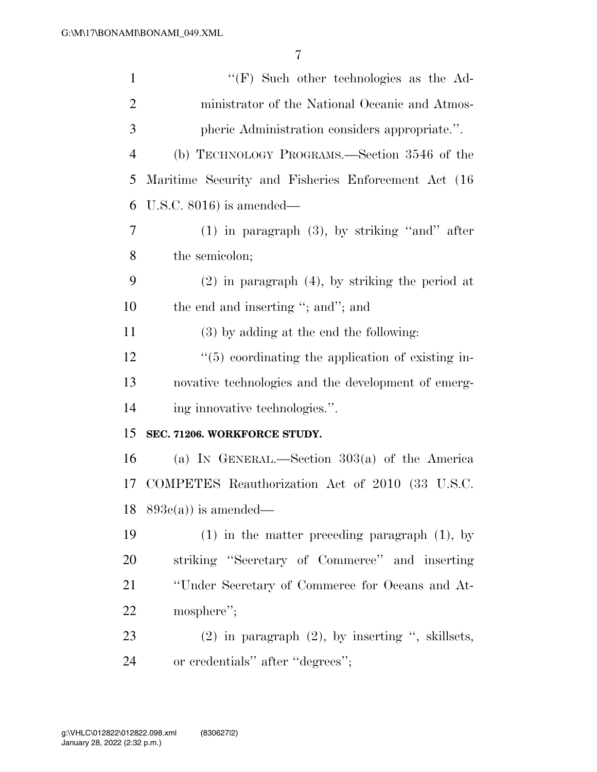| $\mathbf{1}$   | $\lq\lq(F)$ Such other technologies as the Ad-        |
|----------------|-------------------------------------------------------|
| 2              | ministrator of the National Oceanic and Atmos-        |
| 3              | pheric Administration considers appropriate.".        |
| $\overline{4}$ | (b) TECHNOLOGY PROGRAMS.—Section 3546 of the          |
| 5              | Maritime Security and Fisheries Enforcement Act (16)  |
| 6              | U.S.C. $8016$ ) is amended—                           |
| 7              | $(1)$ in paragraph $(3)$ , by striking "and" after    |
| 8              | the semicolon;                                        |
| 9              | $(2)$ in paragraph $(4)$ , by striking the period at  |
| 10             | the end and inserting "; and"; and                    |
| 11             | (3) by adding at the end the following:               |
| 12             | $\lq(5)$ coordinating the application of existing in- |
| 13             | novative technologies and the development of emerg-   |
| 14             | ing innovative technologies.".                        |
| 15             | SEC. 71206. WORKFORCE STUDY.                          |
| 16             | (a) IN GENERAL.—Section $303(a)$ of the America       |
| 17             | COMPETES Reauthorization Act of 2010 (33 U.S.C.       |
|                | $18\quad893c(a))$ is amended—                         |
| 19             | $(1)$ in the matter preceding paragraph $(1)$ , by    |
| 20             | striking "Secretary of Commerce" and inserting        |
| 21             | "Under Secretary of Commerce for Oceans and At-       |
| 22             | mosphere";                                            |
| 23             | $(2)$ in paragraph $(2)$ , by inserting ", skillsets, |
| 24             | or credentials" after "degrees";                      |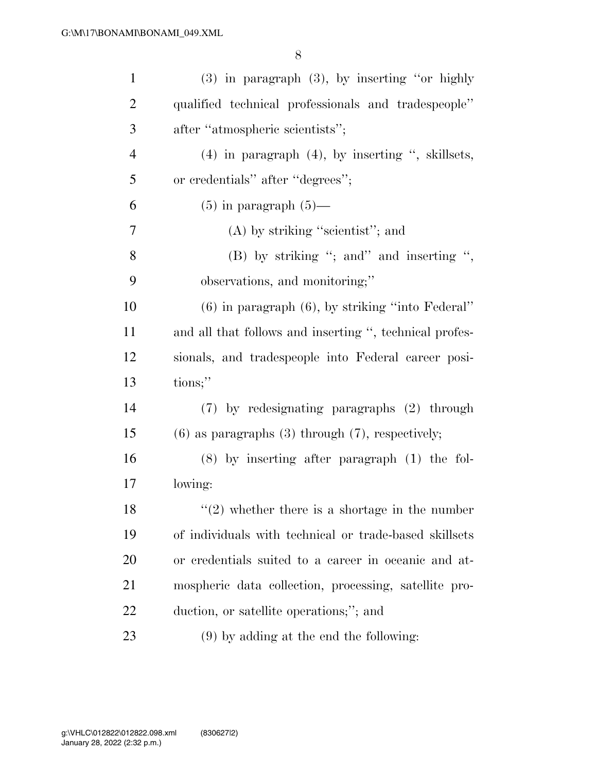| $\mathbf{1}$   | $(3)$ in paragraph $(3)$ , by inserting "or highly      |
|----------------|---------------------------------------------------------|
| $\overline{2}$ | qualified technical professionals and tradespeople"     |
| 3              | after "atmospheric scientists";                         |
| $\overline{4}$ | $(4)$ in paragraph $(4)$ , by inserting ", skillsets,   |
| 5              | or credentials" after "degrees";                        |
| 6              | $(5)$ in paragraph $(5)$ —                              |
| 7              | $(A)$ by striking "scientist"; and                      |
| 8              | $(B)$ by striking "; and inserting ",                   |
| 9              | observations, and monitoring;"                          |
| 10             | $(6)$ in paragraph $(6)$ , by striking "into Federal"   |
| 11             | and all that follows and inserting ", technical profes- |
| 12             | sionals, and tradespeople into Federal career posi-     |
| 13             | tions;"                                                 |
| 14             | (7) by redesignating paragraphs (2) through             |
| 15             | $(6)$ as paragraphs $(3)$ through $(7)$ , respectively; |
| 16             | $(8)$ by inserting after paragraph $(1)$ the fol-       |
| 17             | lowing:                                                 |
| 18             | $\lq(2)$ whether there is a shortage in the number      |
| 19             | of individuals with technical or trade-based skillsets  |
| 20             | or credentials suited to a career in oceanic and at-    |
| 21             | mospheric data collection, processing, satellite pro-   |
| <u>22</u>      | duction, or satellite operations;"; and                 |
| 23             | $(9)$ by adding at the end the following:               |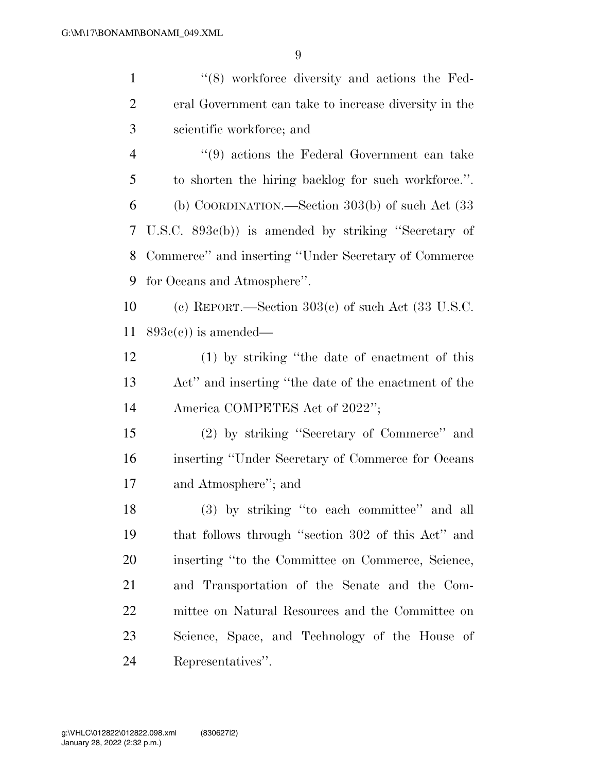| $\mathbf{1}$   | $\cdot$ (8) workforce diversity and actions the Fed-  |
|----------------|-------------------------------------------------------|
| $\overline{2}$ | eral Government can take to increase diversity in the |
| 3              | scientific workforce; and                             |
| $\overline{4}$ | $\lq(9)$ actions the Federal Government can take      |
| 5              | to shorten the hiring backlog for such workforce.".   |
| 6              | (b) COORDINATION.—Section $303(b)$ of such Act $(33)$ |
| 7              | U.S.C. $893c(b)$ is amended by striking "Secretary of |
| 8              | Commerce" and inserting "Under Secretary of Commerce" |
| 9              | for Oceans and Atmosphere".                           |
| 10             | (c) REPORT.—Section $303(c)$ of such Act (33 U.S.C.   |
| 11             | $893e(e)$ is amended—                                 |
| 12             | (1) by striking "the date of enactment of this        |
| 13             | Act" and inserting "the date of the enactment of the  |
| 14             | America COMPETES Act of 2022";                        |
| 15             | (2) by striking "Secretary of Commerce" and           |
| 16             | inserting "Under Secretary of Commerce for Oceans"    |
| 17             | and Atmosphere"; and                                  |
| 18             | (3) by striking "to each committee" and all           |
| 19             | that follows through "section 302 of this Act" and    |
| 20             | inserting "to the Committee on Commerce, Science,     |
| 21             | and Transportation of the Senate and the Com-         |
| 22             | mittee on Natural Resources and the Committee on      |
| 23             | Science, Space, and Technology of the House of        |
| 24             | Representatives".                                     |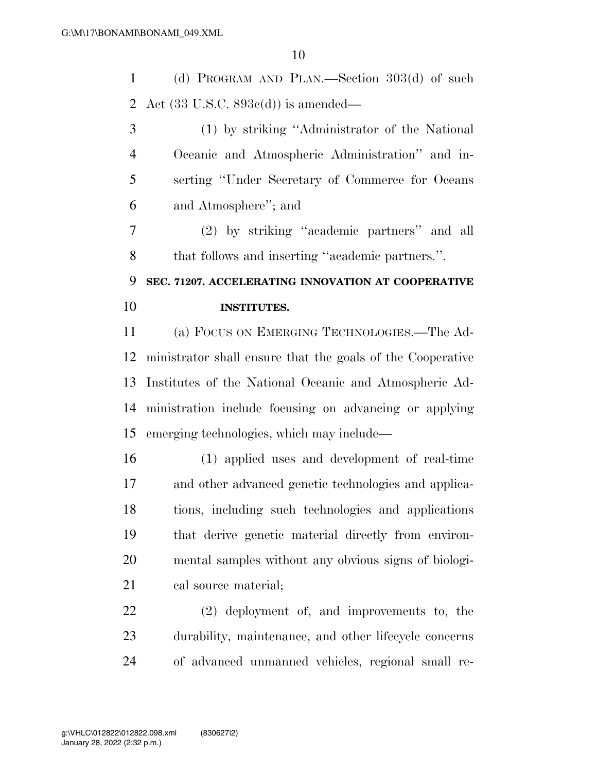(d) PROGRAM AND PLAN.—Section 303(d) of such Act (33 U.S.C. 893c(d)) is amended—

 (1) by striking ''Administrator of the National Oceanic and Atmospheric Administration'' and in- serting ''Under Secretary of Commerce for Oceans and Atmosphere''; and

 (2) by striking ''academic partners'' and all that follows and inserting ''academic partners.''.

 **SEC. 71207. ACCELERATING INNOVATION AT COOPERATIVE INSTITUTES.** 

 (a) FOCUS ON EMERGING TECHNOLOGIES.—The Ad- ministrator shall ensure that the goals of the Cooperative Institutes of the National Oceanic and Atmospheric Ad- ministration include focusing on advancing or applying emerging technologies, which may include—

 (1) applied uses and development of real-time and other advanced genetic technologies and applica- tions, including such technologies and applications that derive genetic material directly from environ- mental samples without any obvious signs of biologi-21 cal source material;

 (2) deployment of, and improvements to, the durability, maintenance, and other lifecycle concerns of advanced unmanned vehicles, regional small re-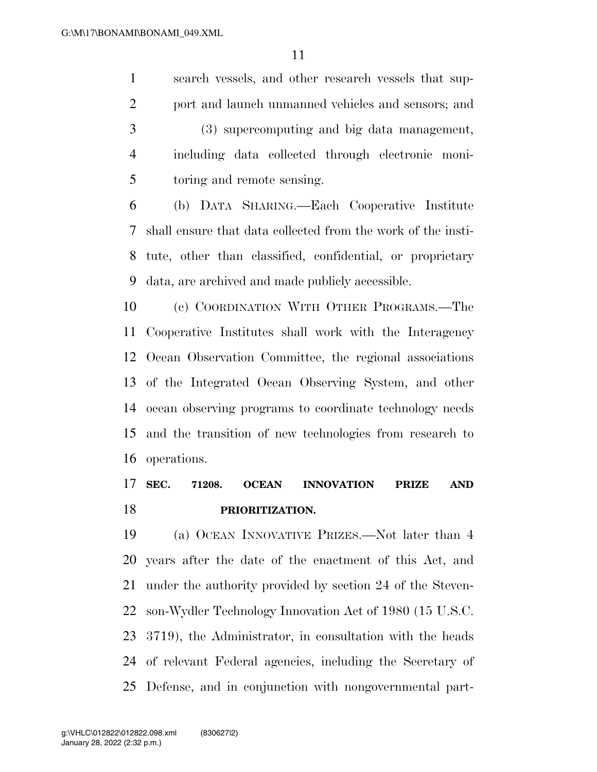search vessels, and other research vessels that sup- port and launch unmanned vehicles and sensors; and (3) supercomputing and big data management, including data collected through electronic moni-toring and remote sensing.

 (b) DATA SHARING.—Each Cooperative Institute shall ensure that data collected from the work of the insti- tute, other than classified, confidential, or proprietary data, are archived and made publicly accessible.

 (c) COORDINATION WITH OTHER PROGRAMS.—The Cooperative Institutes shall work with the Interagency Ocean Observation Committee, the regional associations of the Integrated Ocean Observing System, and other ocean observing programs to coordinate technology needs and the transition of new technologies from research to operations.

# **SEC. 71208. OCEAN INNOVATION PRIZE AND PRIORITIZATION.**

 (a) OCEAN INNOVATIVE PRIZES.—Not later than 4 years after the date of the enactment of this Act, and under the authority provided by section 24 of the Steven- son-Wydler Technology Innovation Act of 1980 (15 U.S.C. 3719), the Administrator, in consultation with the heads of relevant Federal agencies, including the Secretary of Defense, and in conjunction with nongovernmental part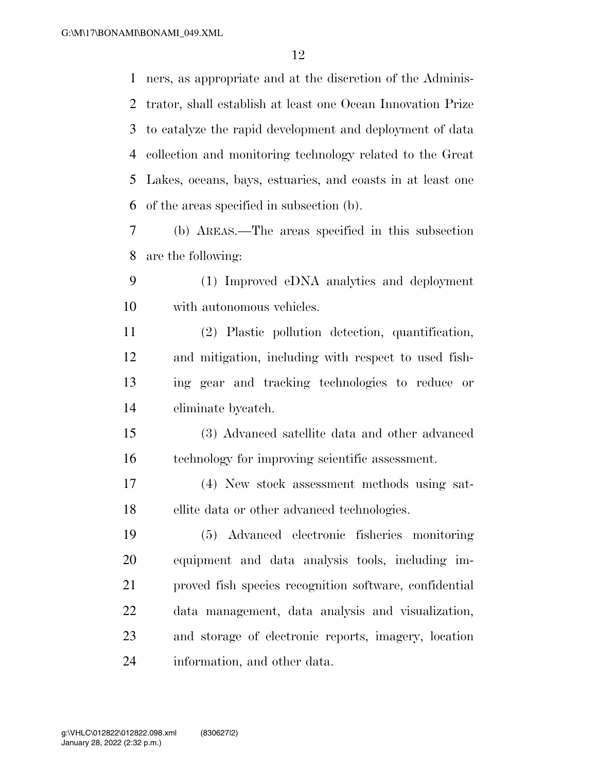ners, as appropriate and at the discretion of the Adminis- trator, shall establish at least one Ocean Innovation Prize to catalyze the rapid development and deployment of data collection and monitoring technology related to the Great Lakes, oceans, bays, estuaries, and coasts in at least one of the areas specified in subsection (b).

 (b) AREAS.—The areas specified in this subsection are the following:

 (1) Improved eDNA analytics and deployment with autonomous vehicles.

 (2) Plastic pollution detection, quantification, and mitigation, including with respect to used fish- ing gear and tracking technologies to reduce or eliminate bycatch.

 (3) Advanced satellite data and other advanced technology for improving scientific assessment.

 (4) New stock assessment methods using sat-ellite data or other advanced technologies.

 (5) Advanced electronic fisheries monitoring equipment and data analysis tools, including im- proved fish species recognition software, confidential data management, data analysis and visualization, and storage of electronic reports, imagery, location information, and other data.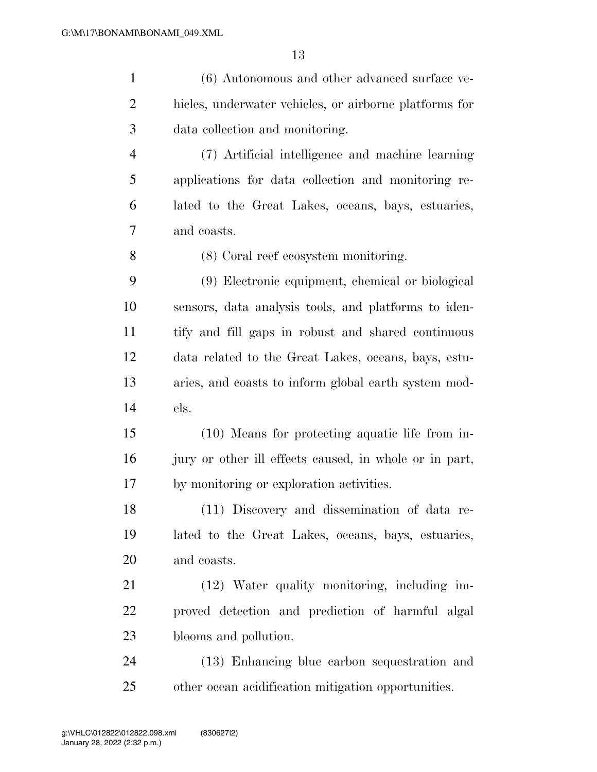| $\mathbf{1}$   | (6) Autonomous and other advanced surface ve-          |
|----------------|--------------------------------------------------------|
| $\overline{2}$ | hicles, underwater vehicles, or airborne platforms for |
| 3              | data collection and monitoring.                        |
| $\overline{4}$ | (7) Artificial intelligence and machine learning       |
| 5              | applications for data collection and monitoring re-    |
| 6              | lated to the Great Lakes, oceans, bays, estuaries,     |
| 7              | and coasts.                                            |
| 8              | (8) Coral reef ecosystem monitoring.                   |
| 9              | (9) Electronic equipment, chemical or biological       |
| 10             | sensors, data analysis tools, and platforms to iden-   |
| 11             | tify and fill gaps in robust and shared continuous     |
| 12             | data related to the Great Lakes, oceans, bays, estu-   |
| 13             | aries, and coasts to inform global earth system mod-   |
| 14             | els.                                                   |
| 15             | (10) Means for protecting aquatic life from in-        |
| 16             | jury or other ill effects caused, in whole or in part, |
| 17             | by monitoring or exploration activities.               |
| 18             | (11) Discovery and dissemination of data re-           |
| 19             | lated to the Great Lakes, oceans, bays, estuaries,     |
| 20             | and coasts.                                            |
| 21             | (12) Water quality monitoring, including im-           |
| 22             | proved detection and prediction of harmful algal       |
| 23             | blooms and pollution.                                  |
| 24             | (13) Enhancing blue carbon sequestration and           |
| 25             | other ocean acidification mitigation opportunities.    |
|                |                                                        |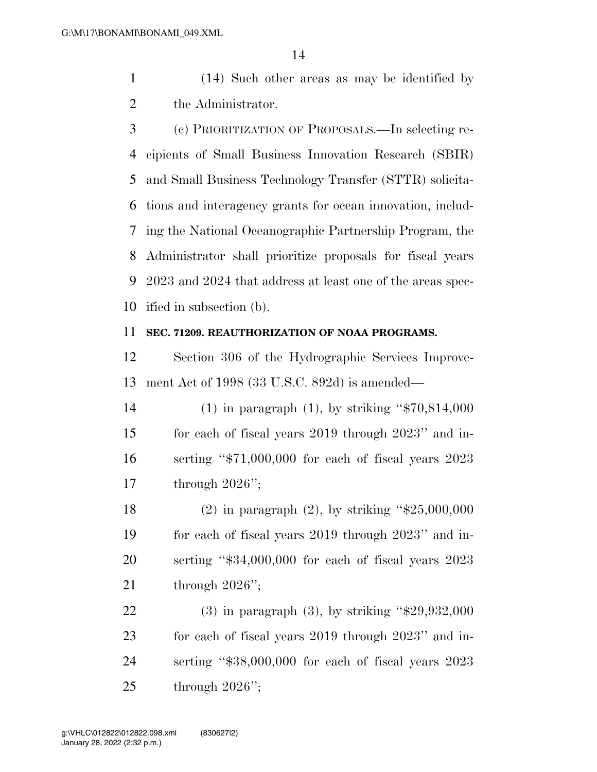(14) Such other areas as may be identified by the Administrator.

 (c) PRIORITIZATION OF PROPOSALS.—In selecting re- cipients of Small Business Innovation Research (SBIR) and Small Business Technology Transfer (STTR) solicita- tions and interagency grants for ocean innovation, includ- ing the National Oceanographic Partnership Program, the Administrator shall prioritize proposals for fiscal years 2023 and 2024 that address at least one of the areas spec-ified in subsection (b).

#### **SEC. 71209. REAUTHORIZATION OF NOAA PROGRAMS.**

 Section 306 of the Hydrographic Services Improve-ment Act of 1998 (33 U.S.C. 892d) is amended—

 (1) in paragraph (1), by striking ''\$70,814,000 for each of fiscal years 2019 through 2023'' and in- serting ''\$71,000,000 for each of fiscal years 2023 through 2026'';

 (2) in paragraph (2), by striking ''\$25,000,000 for each of fiscal years 2019 through 2023'' and in- serting ''\$34,000,000 for each of fiscal years 2023 through 2026'';

 (3) in paragraph (3), by striking ''\$29,932,000 for each of fiscal years 2019 through 2023'' and in- serting ''\$38,000,000 for each of fiscal years 2023 through 2026'';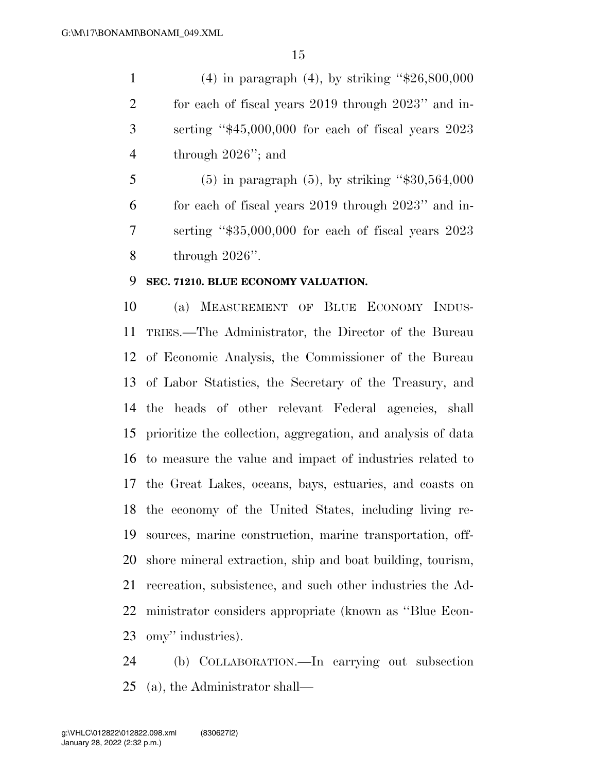(4) in paragraph (4), by striking ''\$26,800,000 for each of fiscal years 2019 through 2023'' and in- serting ''\$45,000,000 for each of fiscal years 2023 through 2026''; and

5 (5) in paragraph (5), by striking " $$30,564,000$  for each of fiscal years 2019 through 2023'' and in- serting ''\$35,000,000 for each of fiscal years 2023 through 2026''.

### **SEC. 71210. BLUE ECONOMY VALUATION.**

 (a) MEASUREMENT OF BLUE ECONOMY INDUS- TRIES.—The Administrator, the Director of the Bureau of Economic Analysis, the Commissioner of the Bureau of Labor Statistics, the Secretary of the Treasury, and the heads of other relevant Federal agencies, shall prioritize the collection, aggregation, and analysis of data to measure the value and impact of industries related to the Great Lakes, oceans, bays, estuaries, and coasts on the economy of the United States, including living re- sources, marine construction, marine transportation, off- shore mineral extraction, ship and boat building, tourism, recreation, subsistence, and such other industries the Ad- ministrator considers appropriate (known as ''Blue Econ-omy'' industries).

 (b) COLLABORATION.—In carrying out subsection (a), the Administrator shall—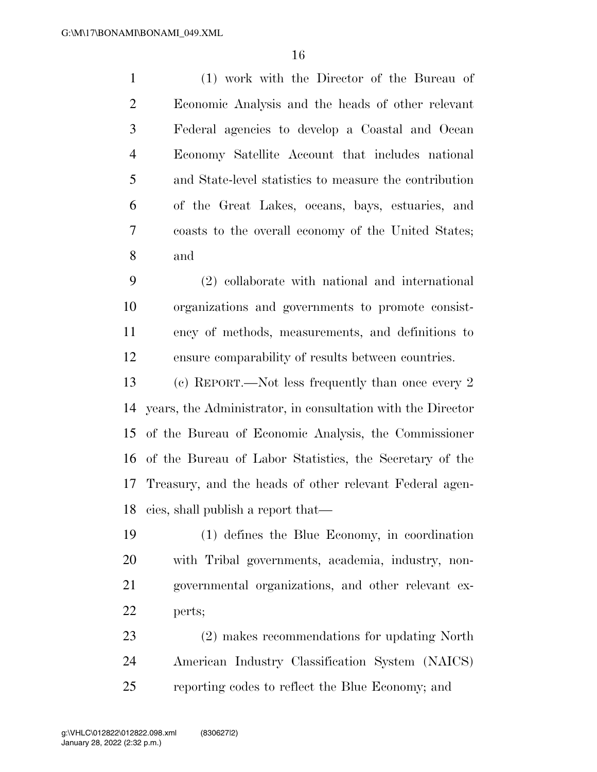(1) work with the Director of the Bureau of Economic Analysis and the heads of other relevant Federal agencies to develop a Coastal and Ocean Economy Satellite Account that includes national and State-level statistics to measure the contribution of the Great Lakes, oceans, bays, estuaries, and coasts to the overall economy of the United States; and

 (2) collaborate with national and international organizations and governments to promote consist- ency of methods, measurements, and definitions to ensure comparability of results between countries.

 (c) REPORT.—Not less frequently than once every 2 years, the Administrator, in consultation with the Director of the Bureau of Economic Analysis, the Commissioner of the Bureau of Labor Statistics, the Secretary of the Treasury, and the heads of other relevant Federal agen-cies, shall publish a report that—

 (1) defines the Blue Economy, in coordination with Tribal governments, academia, industry, non- governmental organizations, and other relevant ex-perts;

 (2) makes recommendations for updating North American Industry Classification System (NAICS) reporting codes to reflect the Blue Economy; and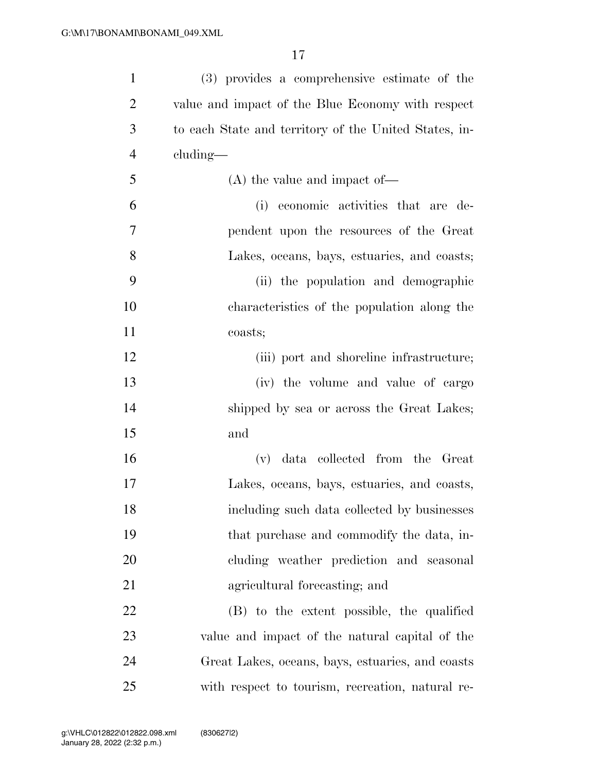| $\mathbf{1}$   | (3) provides a comprehensive estimate of the          |
|----------------|-------------------------------------------------------|
| $\overline{2}$ | value and impact of the Blue Economy with respect     |
| 3              | to each State and territory of the United States, in- |
| $\overline{4}$ | $cluding$ —                                           |
| 5              | $(A)$ the value and impact of —                       |
| 6              | (i) economic activities that are de-                  |
| 7              | pendent upon the resources of the Great               |
| 8              | Lakes, oceans, bays, estuaries, and coasts;           |
| 9              | (ii) the population and demographic                   |
| 10             | characteristics of the population along the           |
| 11             | coasts;                                               |
| 12             | (iii) port and shoreline infrastructure;              |
| 13             | (iv) the volume and value of cargo                    |
| 14             | shipped by sea or across the Great Lakes;             |
| 15             | and                                                   |
| 16             | data collected from the Great<br>(v)                  |
| 17             | Lakes, oceans, bays, estuaries, and coasts,           |
| 18             | including such data collected by businesses           |
| 19             | that purchase and commodify the data, in-             |
| 20             | cluding weather prediction and seasonal               |
| 21             | agricultural forecasting; and                         |
| 22             | (B) to the extent possible, the qualified             |
| 23             | value and impact of the natural capital of the        |
| 24             | Great Lakes, oceans, bays, estuaries, and coasts      |
| 25             | with respect to tourism, recreation, natural re-      |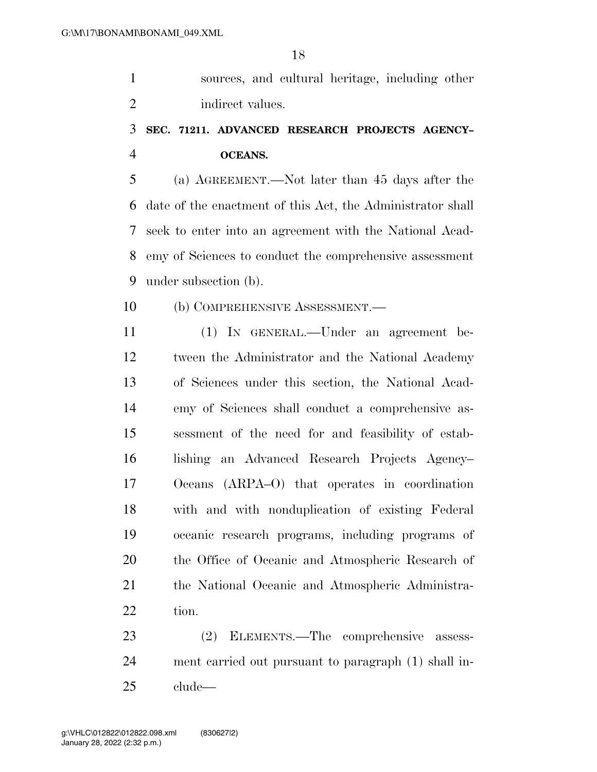sources, and cultural heritage, including other 2 indirect values.

# **SEC. 71211. ADVANCED RESEARCH PROJECTS AGENCY– OCEANS.**

 (a) AGREEMENT.—Not later than 45 days after the date of the enactment of this Act, the Administrator shall seek to enter into an agreement with the National Acad- emy of Sciences to conduct the comprehensive assessment under subsection (b).

(b) COMPREHENSIVE ASSESSMENT.—

 (1) IN GENERAL.—Under an agreement be- tween the Administrator and the National Academy of Sciences under this section, the National Acad- emy of Sciences shall conduct a comprehensive as- sessment of the need for and feasibility of estab- lishing an Advanced Research Projects Agency– Oceans (ARPA–O) that operates in coordination with and with nonduplication of existing Federal oceanic research programs, including programs of the Office of Oceanic and Atmospheric Research of the National Oceanic and Atmospheric Administra-tion.

 (2) ELEMENTS.—The comprehensive assess- ment carried out pursuant to paragraph (1) shall in-clude—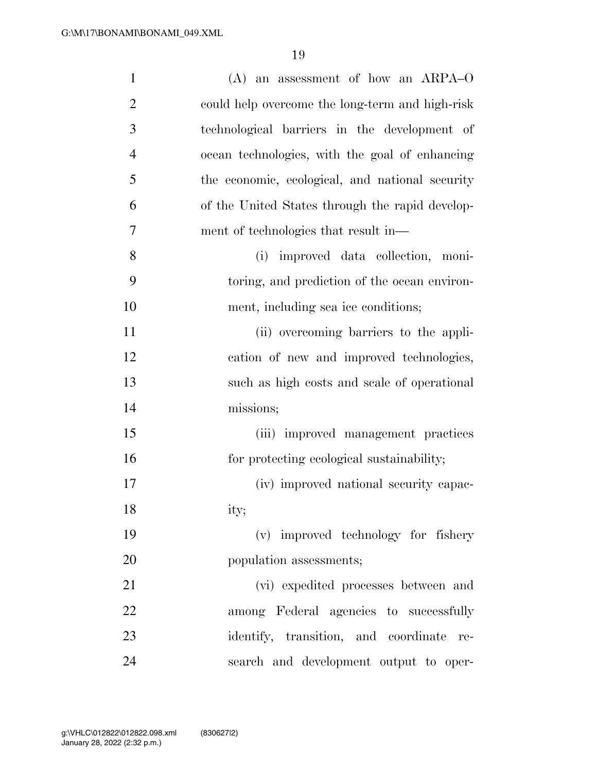| $\mathbf{1}$   | $(A)$ an assessment of how an ARPA-O            |
|----------------|-------------------------------------------------|
| $\overline{2}$ | could help overcome the long-term and high-risk |
| 3              | technological barriers in the development of    |
| $\overline{4}$ | ocean technologies, with the goal of enhancing  |
| 5              | the economic, ecological, and national security |
| 6              | of the United States through the rapid develop- |
| $\overline{7}$ | ment of technologies that result in—            |
| 8              | improved data collection, moni-<br>(i)          |
| 9              | toring, and prediction of the ocean environ-    |
| 10             | ment, including sea ice conditions;             |
| 11             | (ii) overcoming barriers to the appli-          |
| 12             | cation of new and improved technologies,        |
| 13             | such as high costs and scale of operational     |
| 14             | missions;                                       |
| 15             | (iii) improved management practices             |
| 16             | for protecting ecological sustainability;       |
| 17             | (iv) improved national security capac-          |
| 18             | ity;                                            |
| 19             | (v) improved technology for fishery             |
| 20             | population assessments;                         |
| 21             | (vi) expedited processes between and            |
| 22             | among Federal agencies to successfully          |
| 23             | identify, transition, and coordinate<br>re-     |
| 24             | search and development output to oper-          |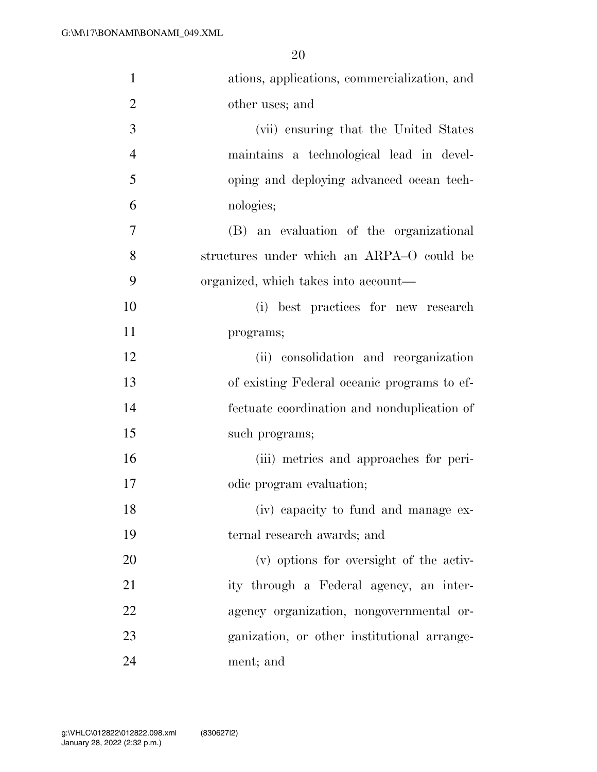| $\mathbf{1}$   | ations, applications, commercialization, and |
|----------------|----------------------------------------------|
| $\overline{2}$ | other uses; and                              |
| 3              | (vii) ensuring that the United States        |
| $\overline{4}$ | maintains a technological lead in devel-     |
| 5              | oping and deploying advanced ocean tech-     |
| 6              | nologies;                                    |
| $\overline{7}$ | (B) an evaluation of the organizational      |
| 8              | structures under which an ARPA-O could be    |
| 9              | organized, which takes into account—         |
| 10             | (i) best practices for new research          |
| 11             | programs;                                    |
| 12             | (ii) consolidation and reorganization        |
| 13             | of existing Federal oceanic programs to ef-  |
| 14             | fectuate coordination and nonduplication of  |
| 15             | such programs;                               |
| 16             | (iii) metrics and approaches for peri-       |
| 17             | odic program evaluation;                     |
| 18             | (iv) capacity to fund and manage ex-         |
| 19             | ternal research awards; and                  |
| 20             | (v) options for oversight of the activ-      |
| 21             | ity through a Federal agency, an inter-      |
| 22             | agency organization, nongovernmental or-     |
| 23             | ganization, or other institutional arrange-  |
| 24             | ment; and                                    |